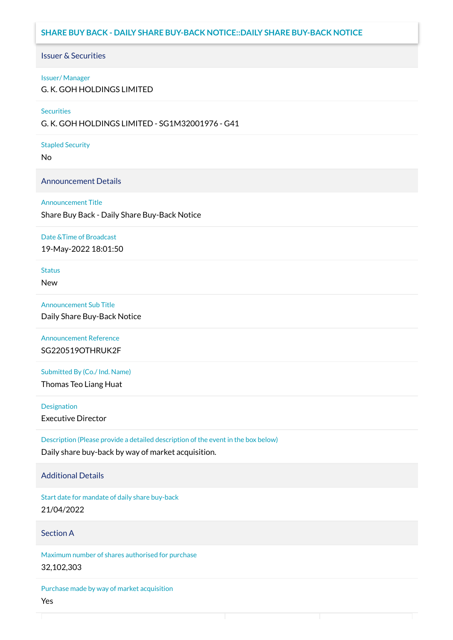# **SHARE BUY BACK - DAILY SHARE BUY-BACK NOTICE::DAILY SHARE BUY-BACK NOTICE**

### Issuer & Securities

#### Issuer/ Manager

G. K. GOH HOLDINGS LIMITED

#### **Securities**

G. K. GOH HOLDINGS LIMITED - SG1M32001976 - G41

#### Stapled Security

No

### Announcement Details

#### Announcement Title

Share Buy Back - Daily Share Buy-Back Notice

#### Date &Time of Broadcast

19-May-2022 18:01:50

# **Status**

New

### Announcement Sub Title

Daily Share Buy-Back Notice

### Announcement Reference SG220519OTHRUK2F

Submitted By (Co./ Ind. Name)

Thomas Teo Liang Huat

**Designation** 

Executive Director

Description (Please provide a detailed description of the event in the box below) Daily share buy-back by way of market acquisition.

### Additional Details

Start date for mandate of daily share buy-back 21/04/2022

### Section A

Maximum number of shares authorised for purchase 32,102,303

Purchase made by way of market acquisition Yes